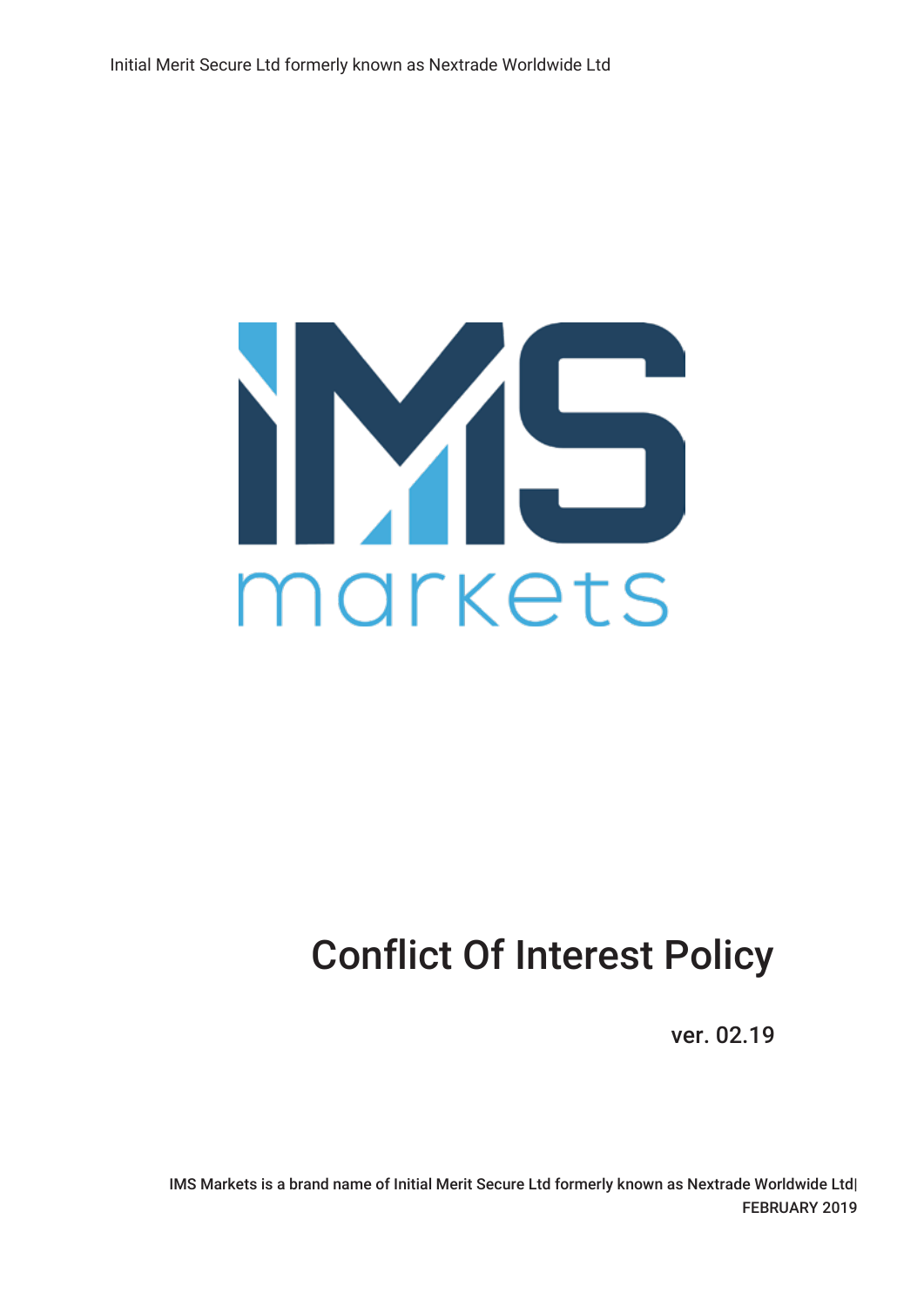

# Conflict Of Interest Policy

ver. 02.19

IMS Markets is a brand name of Initial Merit Secure Ltd formerly known as Nextrade Worldwide Ltd| FEBRUARY 2019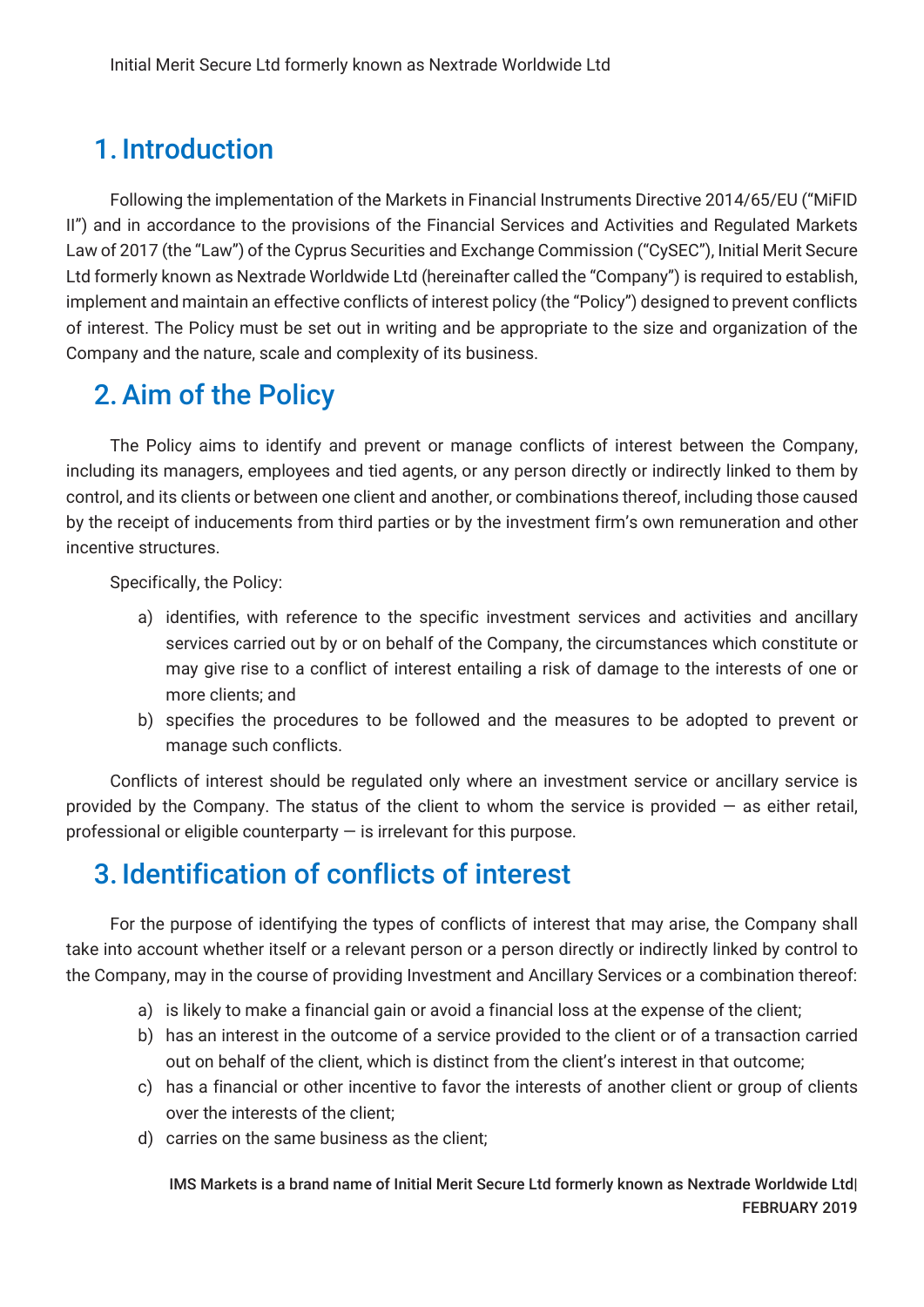## 1. Introduction

Following the implementation of the Markets in Financial Instruments Directive 2014/65/EU ("MiFID II") and in accordance to the provisions of the Financial Services and Activities and Regulated Markets Law of 2017 (the "Law") of the Cyprus Securities and Exchange Commission ("CySEC"), Initial Merit Secure Ltd formerly known as Nextrade Worldwide Ltd (hereinafter called the "Company") is required to establish, implement and maintain an effective conflicts of interest policy (the "Policy") designed to prevent conflicts of interest. The Policy must be set out in writing and be appropriate to the size and organization of the Company and the nature, scale and complexity of its business.

### 2.Aim of the Policy

The Policy aims to identify and prevent or manage conflicts of interest between the Company, including its managers, employees and tied agents, or any person directly or indirectly linked to them by control, and its clients or between one client and another, or combinations thereof, including those caused by the receipt of inducements from third parties or by the investment firm's own remuneration and other incentive structures.

Specifically, the Policy:

- a) identifies, with reference to the specific investment services and activities and ancillary services carried out by or on behalf of the Company, the circumstances which constitute or may give rise to a conflict of interest entailing a risk of damage to the interests of one or more clients; and
- b) specifies the procedures to be followed and the measures to be adopted to prevent or manage such conflicts.

Conflicts of interest should be regulated only where an investment service or ancillary service is provided by the Company. The status of the client to whom the service is provided  $-$  as either retail, professional or eligible counterparty  $-$  is irrelevant for this purpose.

## 3. Identification of conflicts of interest

For the purpose of identifying the types of conflicts of interest that may arise, the Company shall take into account whether itself or a relevant person or a person directly or indirectly linked by control to the Company, may in the course of providing Investment and Ancillary Services or a combination thereof:

- a) is likely to make a financial gain or avoid a financial loss at the expense of the client;
- b) has an interest in the outcome of a service provided to the client or of a transaction carried out on behalf of the client, which is distinct from the client's interest in that outcome;
- c) has a financial or other incentive to favor the interests of another client or group of clients over the interests of the client;
- d) carries on the same business as the client;

IMS Markets is a brand name of Initial Merit Secure Ltd formerly known as Nextrade Worldwide Ltd| FEBRUARY 2019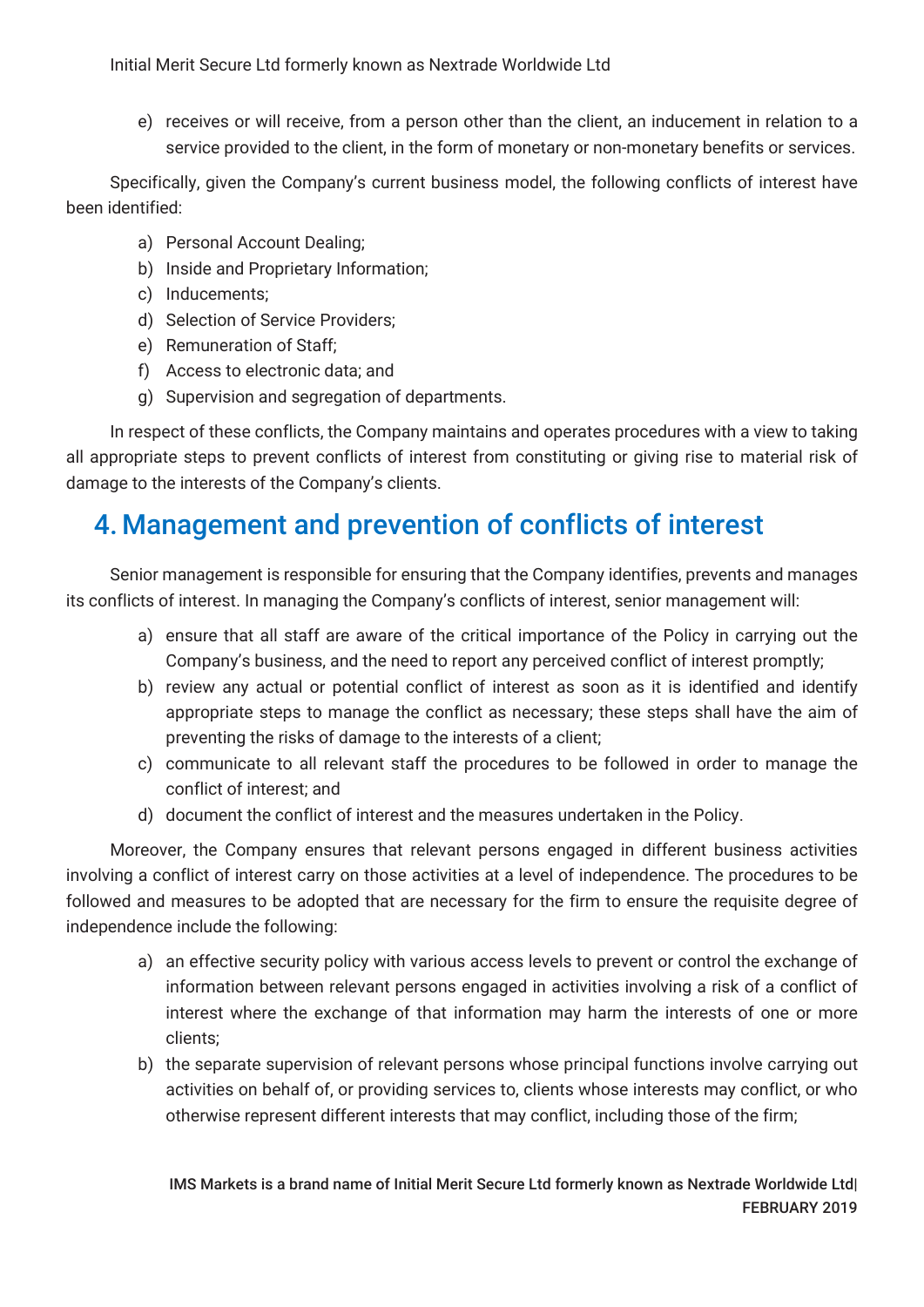Initial Merit Secure Ltd formerly known as Nextrade Worldwide Ltd

e) receives or will receive, from a person other than the client, an inducement in relation to a service provided to the client, in the form of monetary or non-monetary benefits or services.

Specifically, given the Company's current business model, the following conflicts of interest have been identified:

- a) Personal Account Dealing;
- b) Inside and Proprietary Information;
- c) Inducements;
- d) Selection of Service Providers;
- e) Remuneration of Staff;
- f) Access to electronic data; and
- g) Supervision and segregation of departments.

In respect of these conflicts, the Company maintains and operates procedures with a view to taking all appropriate steps to prevent conflicts of interest from constituting or giving rise to material risk of damage to the interests of the Company's clients.

### 4. Management and prevention of conflicts of interest

Senior management is responsible for ensuring that the Company identifies, prevents and manages its conflicts of interest. In managing the Company's conflicts of interest, senior management will:

- a) ensure that all staff are aware of the critical importance of the Policy in carrying out the Company's business, and the need to report any perceived conflict of interest promptly;
- b) review any actual or potential conflict of interest as soon as it is identified and identify appropriate steps to manage the conflict as necessary; these steps shall have the aim of preventing the risks of damage to the interests of a client;
- c) communicate to all relevant staff the procedures to be followed in order to manage the conflict of interest; and
- d) document the conflict of interest and the measures undertaken in the Policy.

Moreover, the Company ensures that relevant persons engaged in different business activities involving a conflict of interest carry on those activities at a level of independence. The procedures to be followed and measures to be adopted that are necessary for the firm to ensure the requisite degree of independence include the following:

- a) an effective security policy with various access levels to prevent or control the exchange of information between relevant persons engaged in activities involving a risk of a conflict of interest where the exchange of that information may harm the interests of one or more clients;
- b) the separate supervision of relevant persons whose principal functions involve carrying out activities on behalf of, or providing services to, clients whose interests may conflict, or who otherwise represent different interests that may conflict, including those of the firm;

IMS Markets is a brand name of Initial Merit Secure Ltd formerly known as Nextrade Worldwide Ltd| FEBRUARY 2019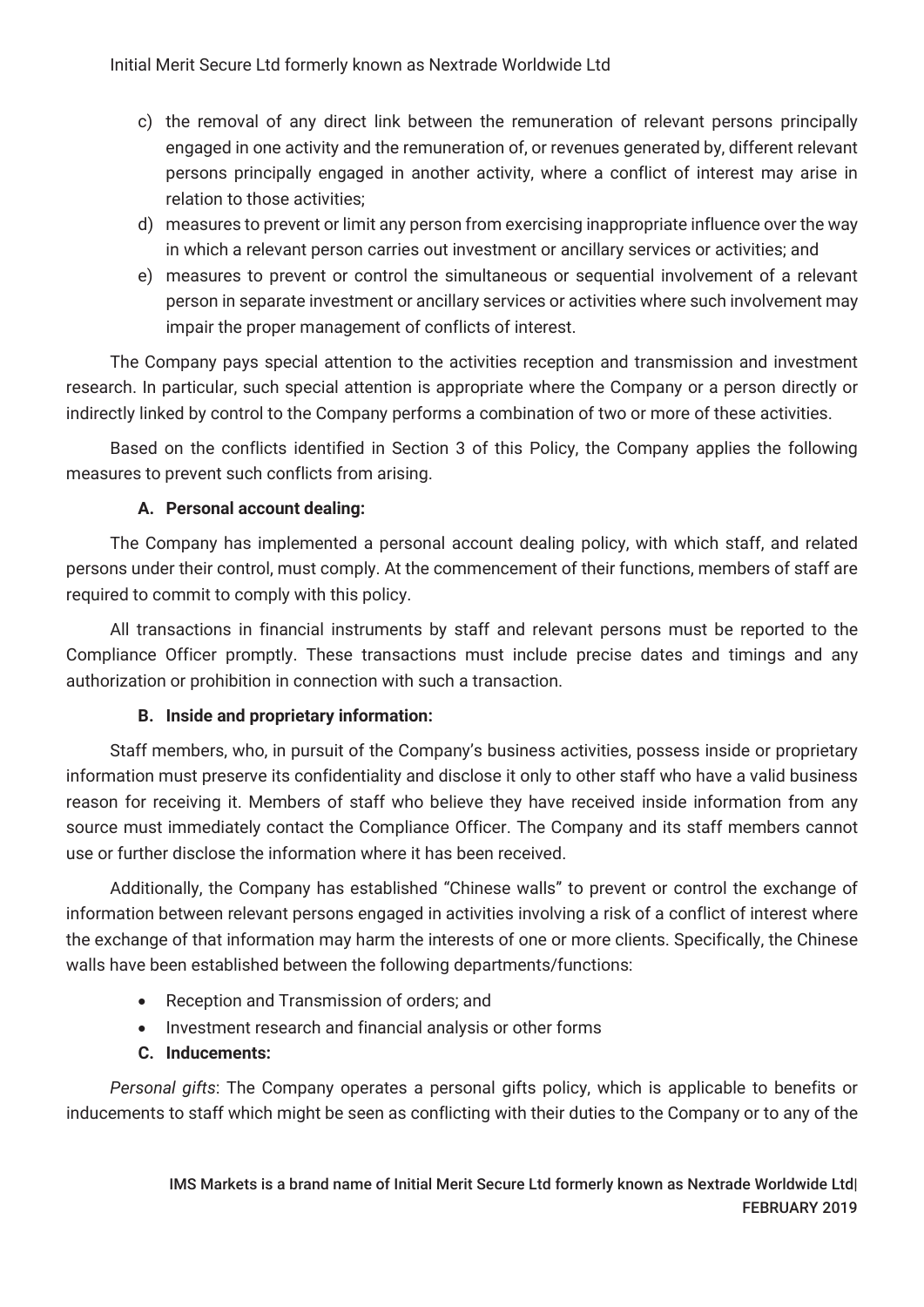Initial Merit Secure Ltd formerly known as Nextrade Worldwide Ltd

- c) the removal of any direct link between the remuneration of relevant persons principally engaged in one activity and the remuneration of, or revenues generated by, different relevant persons principally engaged in another activity, where a conflict of interest may arise in relation to those activities;
- d) measures to prevent or limit any person from exercising inappropriate influence over the way in which a relevant person carries out investment or ancillary services or activities; and
- e) measures to prevent or control the simultaneous or sequential involvement of a relevant person in separate investment or ancillary services or activities where such involvement may impair the proper management of conflicts of interest.

The Company pays special attention to the activities reception and transmission and investment research. In particular, such special attention is appropriate where the Company or a person directly or indirectly linked by control to the Company performs a combination of two or more of these activities.

Based on the conflicts identified in Section 3 of this Policy, the Company applies the following measures to prevent such conflicts from arising.

#### **A. Personal account dealing:**

The Company has implemented a personal account dealing policy, with which staff, and related persons under their control, must comply. At the commencement of their functions, members of staff are required to commit to comply with this policy.

All transactions in financial instruments by staff and relevant persons must be reported to the Compliance Officer promptly. These transactions must include precise dates and timings and any authorization or prohibition in connection with such a transaction.

#### **B. Inside and proprietary information:**

Staff members, who, in pursuit of the Company's business activities, possess inside or proprietary information must preserve its confidentiality and disclose it only to other staff who have a valid business reason for receiving it. Members of staff who believe they have received inside information from any source must immediately contact the Compliance Officer. The Company and its staff members cannot use or further disclose the information where it has been received.

Additionally, the Company has established "Chinese walls" to prevent or control the exchange of information between relevant persons engaged in activities involving a risk of a conflict of interest where the exchange of that information may harm the interests of one or more clients. Specifically, the Chinese walls have been established between the following departments/functions:

- Reception and Transmission of orders; and
- Investment research and financial analysis or other forms

#### **C. Inducements:**

*Personal gifts*: The Company operates a personal gifts policy, which is applicable to benefits or inducements to staff which might be seen as conflicting with their duties to the Company or to any of the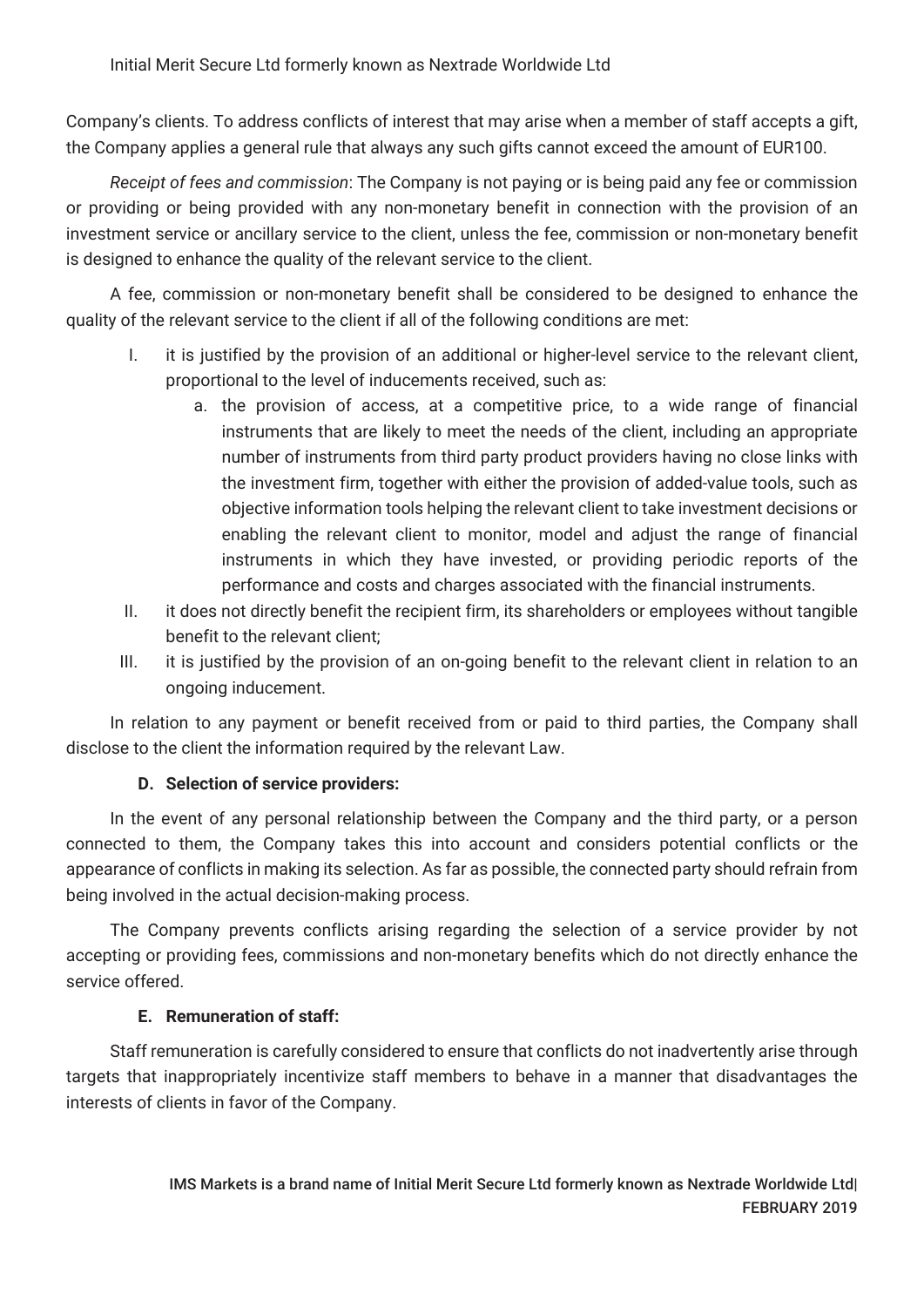Initial Merit Secure Ltd formerly known as Nextrade Worldwide Ltd

Company's clients. To address conflicts of interest that may arise when a member of staff accepts a gift, the Company applies a general rule that always any such gifts cannot exceed the amount of EUR100.

*Receipt of fees and commission*: The Company is not paying or is being paid any fee or commission or providing or being provided with any non-monetary benefit in connection with the provision of an investment service or ancillary service to the client, unless the fee, commission or non-monetary benefit is designed to enhance the quality of the relevant service to the client.

A fee, commission or non-monetary benefit shall be considered to be designed to enhance the quality of the relevant service to the client if all of the following conditions are met:

- I. it is justified by the provision of an additional or higher-level service to the relevant client, proportional to the level of inducements received, such as:
	- a. the provision of access, at a competitive price, to a wide range of financial instruments that are likely to meet the needs of the client, including an appropriate number of instruments from third party product providers having no close links with the investment firm, together with either the provision of added-value tools, such as objective information tools helping the relevant client to take investment decisions or enabling the relevant client to monitor, model and adjust the range of financial instruments in which they have invested, or providing periodic reports of the performance and costs and charges associated with the financial instruments.
- II. it does not directly benefit the recipient firm, its shareholders or employees without tangible benefit to the relevant client;
- III. it is justified by the provision of an on-going benefit to the relevant client in relation to an ongoing inducement.

In relation to any payment or benefit received from or paid to third parties, the Company shall disclose to the client the information required by the relevant Law.

#### **D. Selection of service providers:**

In the event of any personal relationship between the Company and the third party, or a person connected to them, the Company takes this into account and considers potential conflicts or the appearance of conflicts in making its selection. As far as possible, the connected party should refrain from being involved in the actual decision-making process.

The Company prevents conflicts arising regarding the selection of a service provider by not accepting or providing fees, commissions and non-monetary benefits which do not directly enhance the service offered.

#### **E. Remuneration of staff:**

Staff remuneration is carefully considered to ensure that conflicts do not inadvertently arise through targets that inappropriately incentivize staff members to behave in a manner that disadvantages the interests of clients in favor of the Company.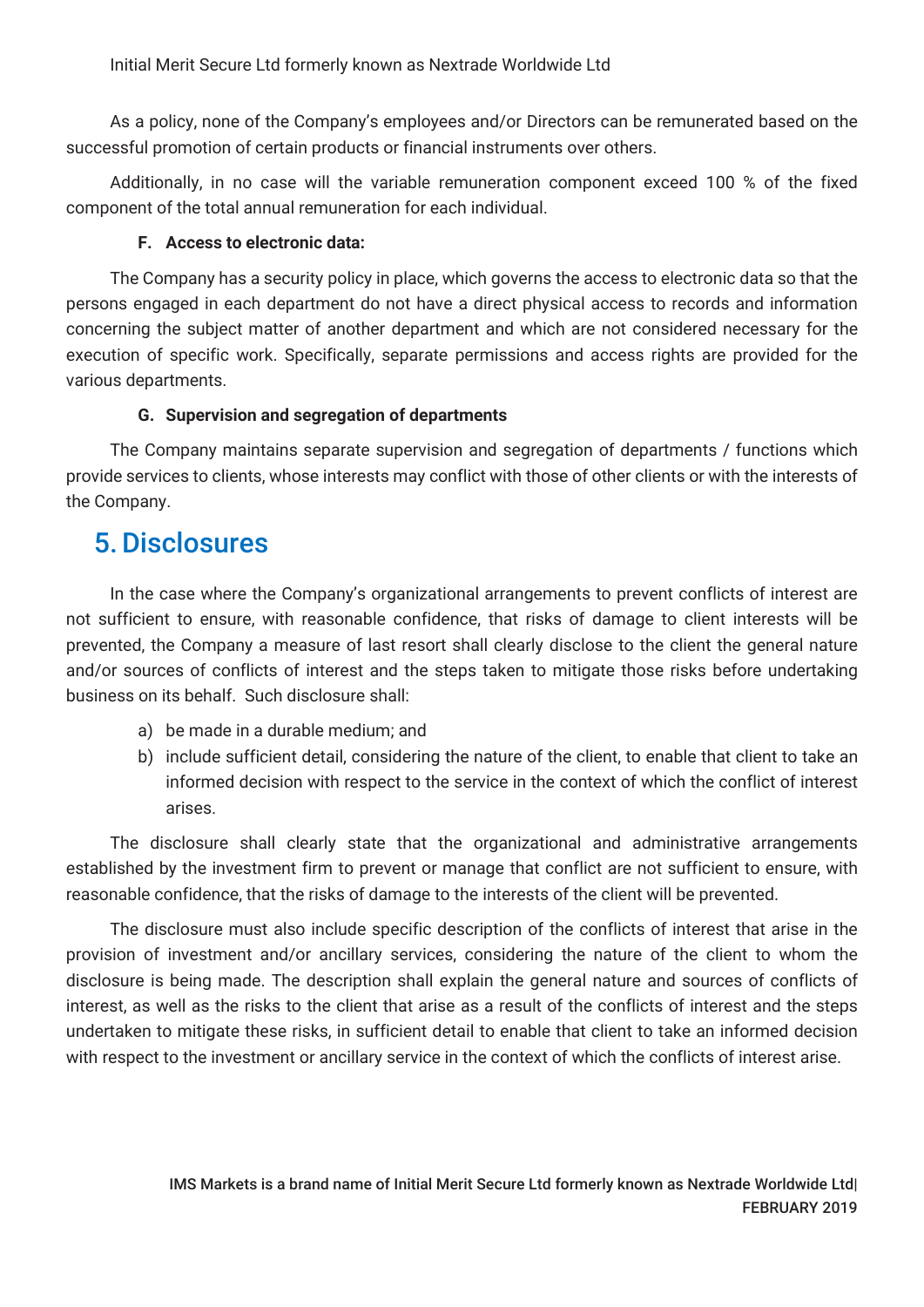As a policy, none of the Company's employees and/or Directors can be remunerated based on the successful promotion of certain products or financial instruments over others.

Additionally, in no case will the variable remuneration component exceed 100 % of the fixed component of the total annual remuneration for each individual.

#### **F. Access to electronic data:**

The Company has a security policy in place, which governs the access to electronic data so that the persons engaged in each department do not have a direct physical access to records and information concerning the subject matter of another department and which are not considered necessary for the execution of specific work. Specifically, separate permissions and access rights are provided for the various departments.

#### **G. Supervision and segregation of departments**

The Company maintains separate supervision and segregation of departments / functions which provide services to clients, whose interests may conflict with those of other clients or with the interests of the Company.

### 5.Disclosures

In the case where the Company's organizational arrangements to prevent conflicts of interest are not sufficient to ensure, with reasonable confidence, that risks of damage to client interests will be prevented, the Company a measure of last resort shall clearly disclose to the client the general nature and/or sources of conflicts of interest and the steps taken to mitigate those risks before undertaking business on its behalf. Such disclosure shall:

- a) be made in a durable medium; and
- b) include sufficient detail, considering the nature of the client, to enable that client to take an informed decision with respect to the service in the context of which the conflict of interest arises.

The disclosure shall clearly state that the organizational and administrative arrangements established by the investment firm to prevent or manage that conflict are not sufficient to ensure, with reasonable confidence, that the risks of damage to the interests of the client will be prevented.

The disclosure must also include specific description of the conflicts of interest that arise in the provision of investment and/or ancillary services, considering the nature of the client to whom the disclosure is being made. The description shall explain the general nature and sources of conflicts of interest, as well as the risks to the client that arise as a result of the conflicts of interest and the steps undertaken to mitigate these risks, in sufficient detail to enable that client to take an informed decision with respect to the investment or ancillary service in the context of which the conflicts of interest arise.